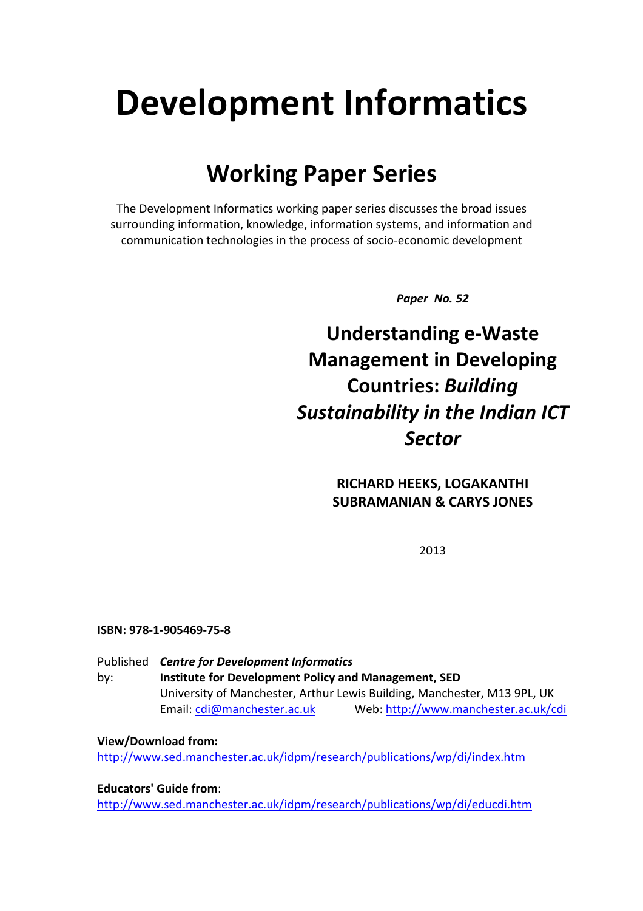# Development Informatics

## Working Paper Series

The Development Informatics working paper series discusses the broad issues surrounding information, knowledge, information systems, and information and communication technologies in the process of socio-economic development

Paper No. 52

## Understanding e-Waste Management in Developing Countries: Building Sustainability in the Indian ICT Sector

RICHARD HEEKS, LOGAKANTHI SUBRAMANIAN & CARYS JONES

2013

#### ISBN: 978-1-905469-75-8

Published Centre for Development Informatics by: Institute for Development Policy and Management, SED University of Manchester, Arthur Lewis Building, Manchester, M13 9PL, UK Email: cdi@manchester.ac.uk Web: http://www.manchester.ac.uk/cdi

View/Download from: http://www.sed.manchester.ac.uk/idpm/research/publications/wp/di/index.htm

Educators' Guide from:

http://www.sed.manchester.ac.uk/idpm/research/publications/wp/di/educdi.htm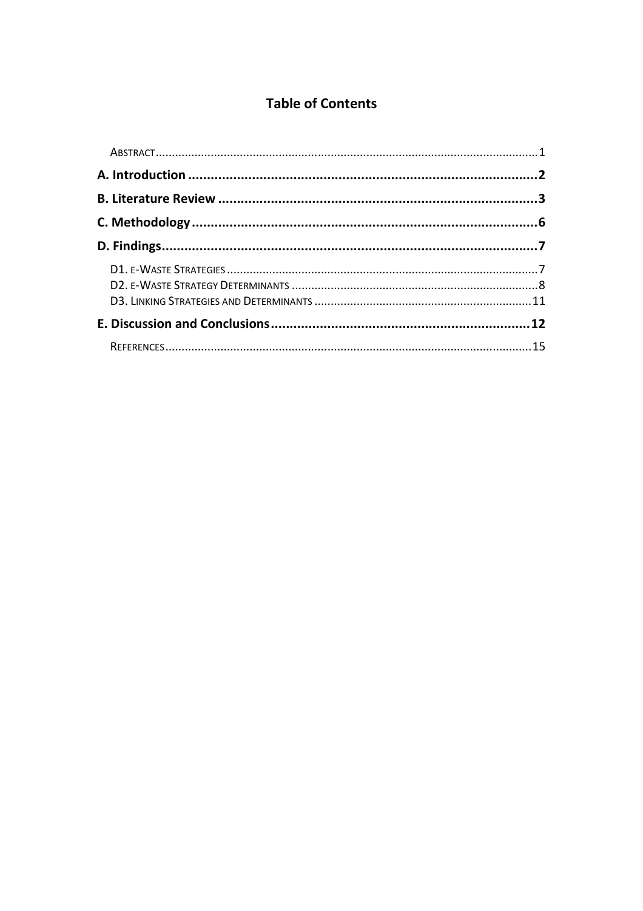### **Table of Contents**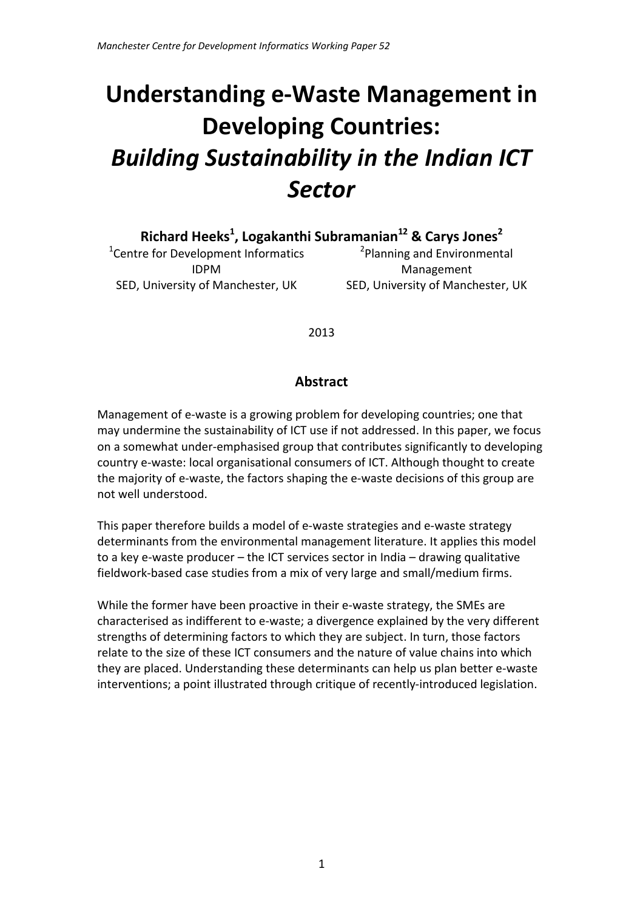# Understanding e-Waste Management in Developing Countries: Building Sustainability in the Indian ICT Sector

Richard Heeks<sup>1</sup>, Logakanthi Subramanian<sup>12</sup> & Carys Jones<sup>2</sup>

<sup>1</sup> Centre for Development Informatics IDPM SED, University of Manchester, UK

<sup>2</sup>Planning and Environmental Management SED, University of Manchester, UK

2013

#### Abstract

Management of e-waste is a growing problem for developing countries; one that may undermine the sustainability of ICT use if not addressed. In this paper, we focus on a somewhat under-emphasised group that contributes significantly to developing country e-waste: local organisational consumers of ICT. Although thought to create the majority of e-waste, the factors shaping the e-waste decisions of this group are not well understood.

This paper therefore builds a model of e-waste strategies and e-waste strategy determinants from the environmental management literature. It applies this model to a key e-waste producer – the ICT services sector in India – drawing qualitative fieldwork-based case studies from a mix of very large and small/medium firms.

While the former have been proactive in their e-waste strategy, the SMEs are characterised as indifferent to e-waste; a divergence explained by the very different strengths of determining factors to which they are subject. In turn, those factors relate to the size of these ICT consumers and the nature of value chains into which they are placed. Understanding these determinants can help us plan better e-waste interventions; a point illustrated through critique of recently-introduced legislation.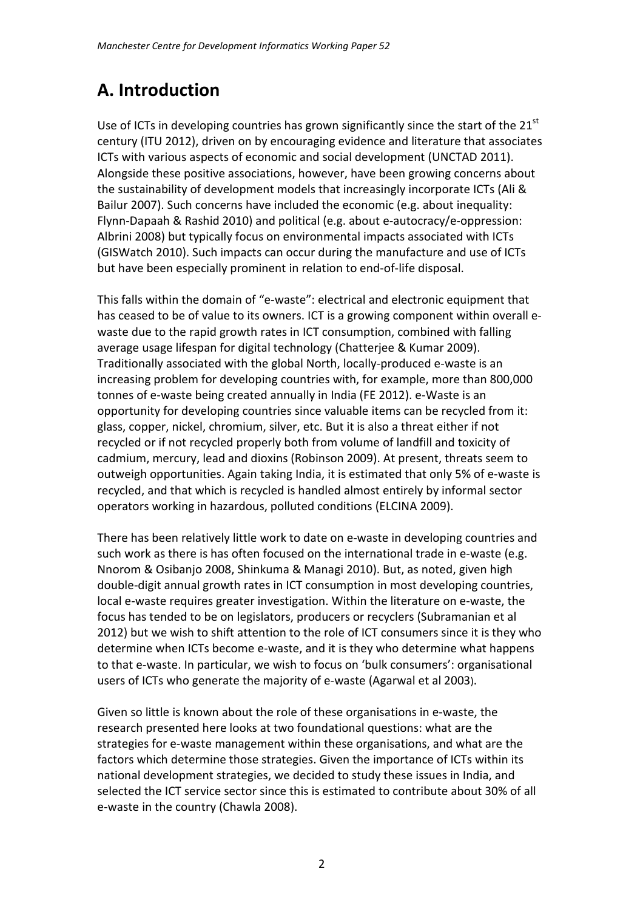## A. Introduction

Use of ICTs in developing countries has grown significantly since the start of the  $21<sup>st</sup>$ century (ITU 2012), driven on by encouraging evidence and literature that associates ICTs with various aspects of economic and social development (UNCTAD 2011). Alongside these positive associations, however, have been growing concerns about the sustainability of development models that increasingly incorporate ICTs (Ali & Bailur 2007). Such concerns have included the economic (e.g. about inequality: Flynn-Dapaah & Rashid 2010) and political (e.g. about e-autocracy/e-oppression: Albrini 2008) but typically focus on environmental impacts associated with ICTs (GISWatch 2010). Such impacts can occur during the manufacture and use of ICTs but have been especially prominent in relation to end-of-life disposal.

This falls within the domain of "e-waste": electrical and electronic equipment that has ceased to be of value to its owners. ICT is a growing component within overall ewaste due to the rapid growth rates in ICT consumption, combined with falling average usage lifespan for digital technology (Chatterjee & Kumar 2009). Traditionally associated with the global North, locally-produced e-waste is an increasing problem for developing countries with, for example, more than 800,000 tonnes of e-waste being created annually in India (FE 2012). e-Waste is an opportunity for developing countries since valuable items can be recycled from it: glass, copper, nickel, chromium, silver, etc. But it is also a threat either if not recycled or if not recycled properly both from volume of landfill and toxicity of cadmium, mercury, lead and dioxins (Robinson 2009). At present, threats seem to outweigh opportunities. Again taking India, it is estimated that only 5% of e-waste is recycled, and that which is recycled is handled almost entirely by informal sector operators working in hazardous, polluted conditions (ELCINA 2009).

There has been relatively little work to date on e-waste in developing countries and such work as there is has often focused on the international trade in e-waste (e.g. Nnorom & Osibanjo 2008, Shinkuma & Managi 2010). But, as noted, given high double-digit annual growth rates in ICT consumption in most developing countries, local e-waste requires greater investigation. Within the literature on e-waste, the focus has tended to be on legislators, producers or recyclers (Subramanian et al 2012) but we wish to shift attention to the role of ICT consumers since it is they who determine when ICTs become e-waste, and it is they who determine what happens to that e-waste. In particular, we wish to focus on 'bulk consumers': organisational users of ICTs who generate the majority of e-waste (Agarwal et al 2003).

Given so little is known about the role of these organisations in e-waste, the research presented here looks at two foundational questions: what are the strategies for e-waste management within these organisations, and what are the factors which determine those strategies. Given the importance of ICTs within its national development strategies, we decided to study these issues in India, and selected the ICT service sector since this is estimated to contribute about 30% of all e-waste in the country (Chawla 2008).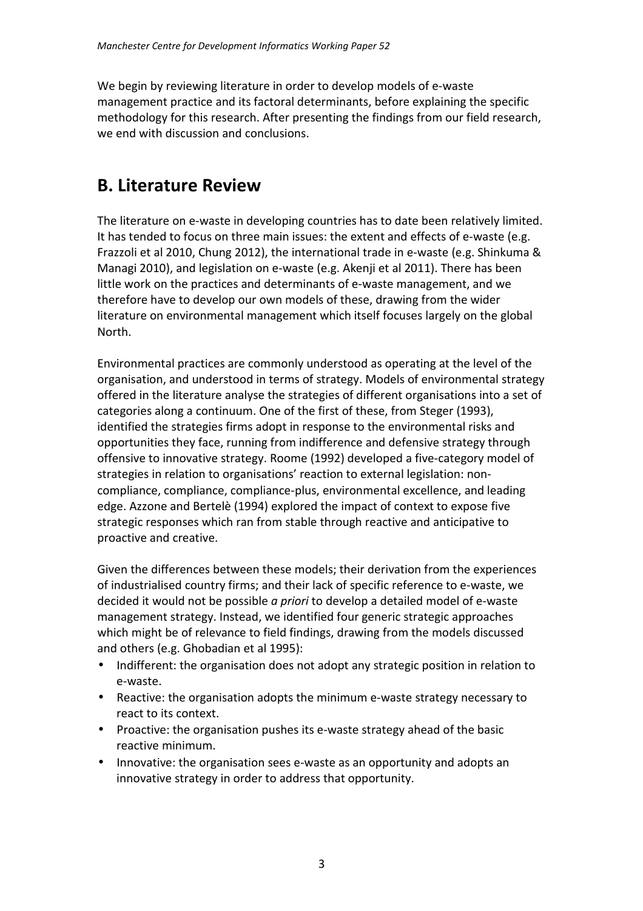We begin by reviewing literature in order to develop models of e-waste management practice and its factoral determinants, before explaining the specific methodology for this research. After presenting the findings from our field research, we end with discussion and conclusions.

## B. Literature Review

The literature on e-waste in developing countries has to date been relatively limited. It has tended to focus on three main issues: the extent and effects of e-waste (e.g. Frazzoli et al 2010, Chung 2012), the international trade in e-waste (e.g. Shinkuma & Managi 2010), and legislation on e-waste (e.g. Akenji et al 2011). There has been little work on the practices and determinants of e-waste management, and we therefore have to develop our own models of these, drawing from the wider literature on environmental management which itself focuses largely on the global North.

Environmental practices are commonly understood as operating at the level of the organisation, and understood in terms of strategy. Models of environmental strategy offered in the literature analyse the strategies of different organisations into a set of categories along a continuum. One of the first of these, from Steger (1993), identified the strategies firms adopt in response to the environmental risks and opportunities they face, running from indifference and defensive strategy through offensive to innovative strategy. Roome (1992) developed a five-category model of strategies in relation to organisations' reaction to external legislation: noncompliance, compliance, compliance-plus, environmental excellence, and leading edge. Azzone and Bertelè (1994) explored the impact of context to expose five strategic responses which ran from stable through reactive and anticipative to proactive and creative.

Given the differences between these models; their derivation from the experiences of industrialised country firms; and their lack of specific reference to e-waste, we decided it would not be possible a priori to develop a detailed model of e-waste management strategy. Instead, we identified four generic strategic approaches which might be of relevance to field findings, drawing from the models discussed and others (e.g. Ghobadian et al 1995):

- Indifferent: the organisation does not adopt any strategic position in relation to e-waste.
- Reactive: the organisation adopts the minimum e-waste strategy necessary to react to its context.
- Proactive: the organisation pushes its e-waste strategy ahead of the basic reactive minimum.
- Innovative: the organisation sees e-waste as an opportunity and adopts an innovative strategy in order to address that opportunity.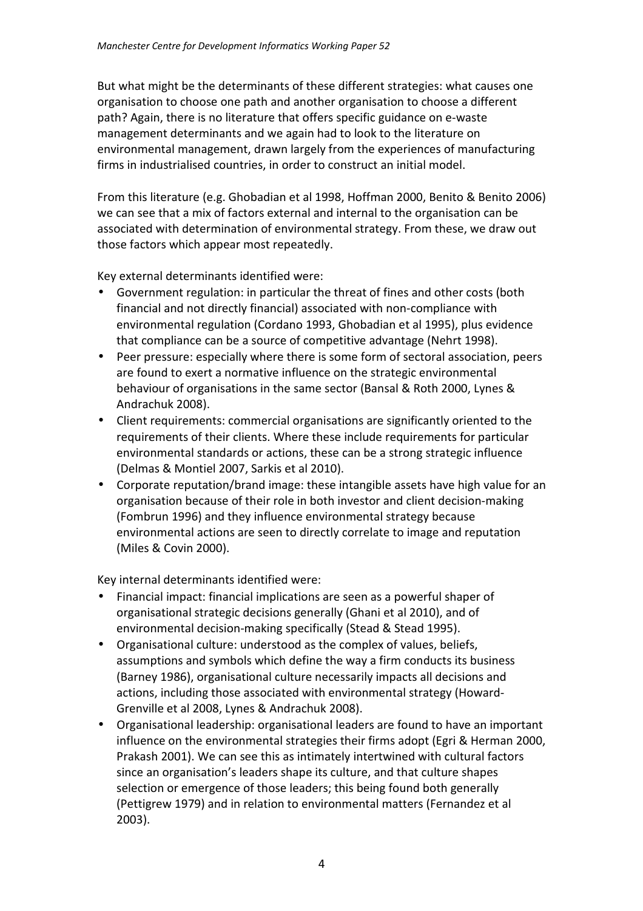But what might be the determinants of these different strategies: what causes one organisation to choose one path and another organisation to choose a different path? Again, there is no literature that offers specific guidance on e-waste management determinants and we again had to look to the literature on environmental management, drawn largely from the experiences of manufacturing firms in industrialised countries, in order to construct an initial model.

From this literature (e.g. Ghobadian et al 1998, Hoffman 2000, Benito & Benito 2006) we can see that a mix of factors external and internal to the organisation can be associated with determination of environmental strategy. From these, we draw out those factors which appear most repeatedly.

Key external determinants identified were:

- Government regulation: in particular the threat of fines and other costs (both financial and not directly financial) associated with non-compliance with environmental regulation (Cordano 1993, Ghobadian et al 1995), plus evidence that compliance can be a source of competitive advantage (Nehrt 1998).
- Peer pressure: especially where there is some form of sectoral association, peers are found to exert a normative influence on the strategic environmental behaviour of organisations in the same sector (Bansal & Roth 2000, Lynes & Andrachuk 2008).
- Client requirements: commercial organisations are significantly oriented to the requirements of their clients. Where these include requirements for particular environmental standards or actions, these can be a strong strategic influence (Delmas & Montiel 2007, Sarkis et al 2010).
- Corporate reputation/brand image: these intangible assets have high value for an organisation because of their role in both investor and client decision-making (Fombrun 1996) and they influence environmental strategy because environmental actions are seen to directly correlate to image and reputation (Miles & Covin 2000).

Key internal determinants identified were:

- Financial impact: financial implications are seen as a powerful shaper of organisational strategic decisions generally (Ghani et al 2010), and of environmental decision-making specifically (Stead & Stead 1995).
- Organisational culture: understood as the complex of values, beliefs, assumptions and symbols which define the way a firm conducts its business (Barney 1986), organisational culture necessarily impacts all decisions and actions, including those associated with environmental strategy (Howard-Grenville et al 2008, Lynes & Andrachuk 2008).
- Organisational leadership: organisational leaders are found to have an important influence on the environmental strategies their firms adopt (Egri & Herman 2000, Prakash 2001). We can see this as intimately intertwined with cultural factors since an organisation's leaders shape its culture, and that culture shapes selection or emergence of those leaders; this being found both generally (Pettigrew 1979) and in relation to environmental matters (Fernandez et al 2003).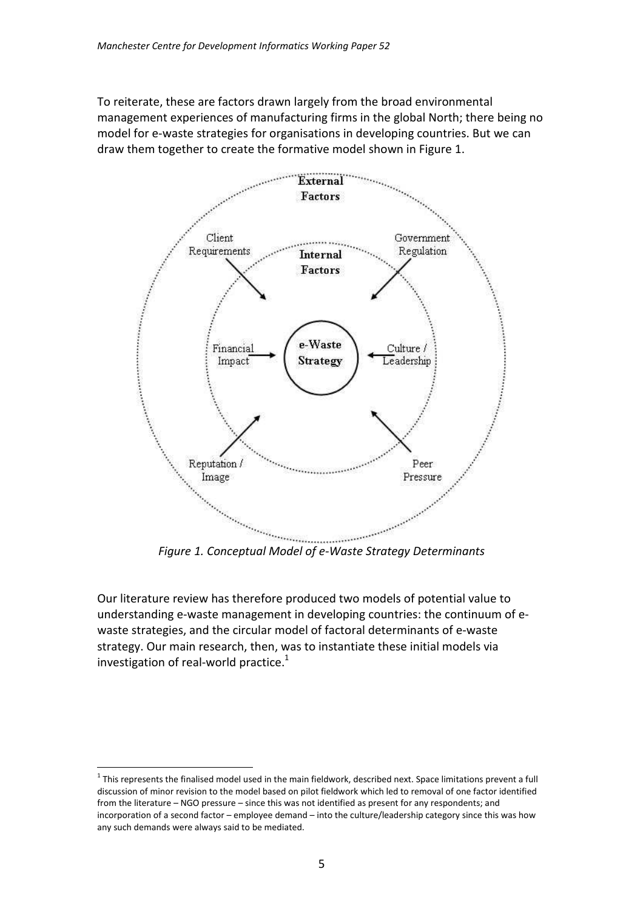To reiterate, these are factors drawn largely from the broad environmental management experiences of manufacturing firms in the global North; there being no model for e-waste strategies for organisations in developing countries. But we can draw them together to create the formative model shown in Figure 1.



Figure 1. Conceptual Model of e-Waste Strategy Determinants

Our literature review has therefore produced two models of potential value to understanding e-waste management in developing countries: the continuum of ewaste strategies, and the circular model of factoral determinants of e-waste strategy. Our main research, then, was to instantiate these initial models via investigation of real-world practice. $1$ 

l

 $1$  This represents the finalised model used in the main fieldwork, described next. Space limitations prevent a full discussion of minor revision to the model based on pilot fieldwork which led to removal of one factor identified from the literature – NGO pressure – since this was not identified as present for any respondents; and incorporation of a second factor – employee demand – into the culture/leadership category since this was how any such demands were always said to be mediated.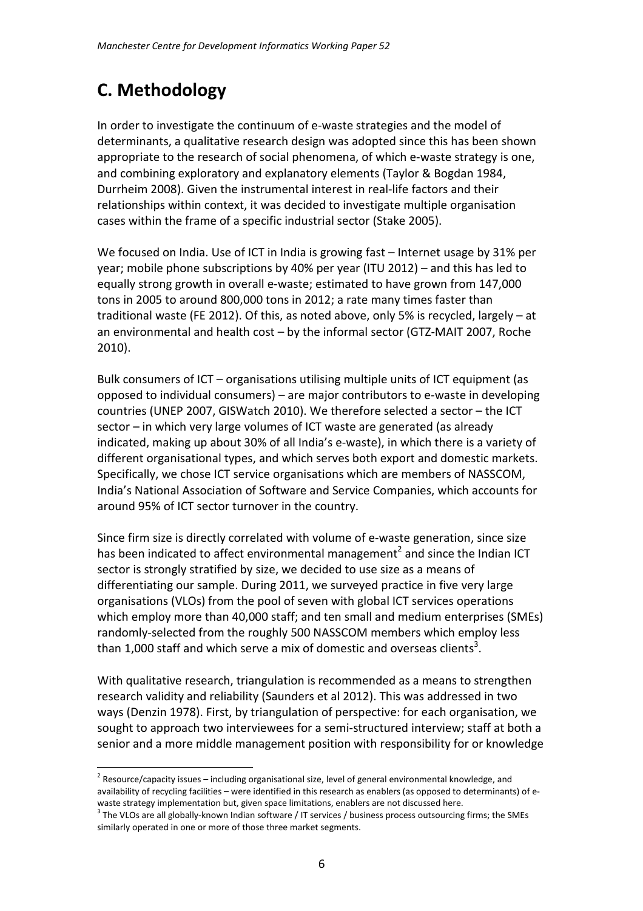## C. Methodology

l

In order to investigate the continuum of e-waste strategies and the model of determinants, a qualitative research design was adopted since this has been shown appropriate to the research of social phenomena, of which e-waste strategy is one, and combining exploratory and explanatory elements (Taylor & Bogdan 1984, Durrheim 2008). Given the instrumental interest in real-life factors and their relationships within context, it was decided to investigate multiple organisation cases within the frame of a specific industrial sector (Stake 2005).

We focused on India. Use of ICT in India is growing fast – Internet usage by 31% per year; mobile phone subscriptions by 40% per year (ITU 2012) – and this has led to equally strong growth in overall e-waste; estimated to have grown from 147,000 tons in 2005 to around 800,000 tons in 2012; a rate many times faster than traditional waste (FE 2012). Of this, as noted above, only 5% is recycled, largely – at an environmental and health cost – by the informal sector (GTZ-MAIT 2007, Roche 2010).

Bulk consumers of ICT – organisations utilising multiple units of ICT equipment (as opposed to individual consumers) – are major contributors to e-waste in developing countries (UNEP 2007, GISWatch 2010). We therefore selected a sector – the ICT sector – in which very large volumes of ICT waste are generated (as already indicated, making up about 30% of all India's e-waste), in which there is a variety of different organisational types, and which serves both export and domestic markets. Specifically, we chose ICT service organisations which are members of NASSCOM, India's National Association of Software and Service Companies, which accounts for around 95% of ICT sector turnover in the country.

Since firm size is directly correlated with volume of e-waste generation, since size has been indicated to affect environmental management<sup>2</sup> and since the Indian ICT sector is strongly stratified by size, we decided to use size as a means of differentiating our sample. During 2011, we surveyed practice in five very large organisations (VLOs) from the pool of seven with global ICT services operations which employ more than 40,000 staff; and ten small and medium enterprises (SMEs) randomly-selected from the roughly 500 NASSCOM members which employ less than 1,000 staff and which serve a mix of domestic and overseas clients<sup>3</sup>.

With qualitative research, triangulation is recommended as a means to strengthen research validity and reliability (Saunders et al 2012). This was addressed in two ways (Denzin 1978). First, by triangulation of perspective: for each organisation, we sought to approach two interviewees for a semi-structured interview; staff at both a senior and a more middle management position with responsibility for or knowledge

<sup>&</sup>lt;sup>2</sup> Resource/capacity issues – including organisational size, level of general environmental knowledge, and availability of recycling facilities – were identified in this research as enablers (as opposed to determinants) of ewaste strategy implementation but, given space limitations, enablers are not discussed here.

 $3$  The VLOs are all globally-known Indian software / IT services / business process outsourcing firms; the SMEs similarly operated in one or more of those three market segments.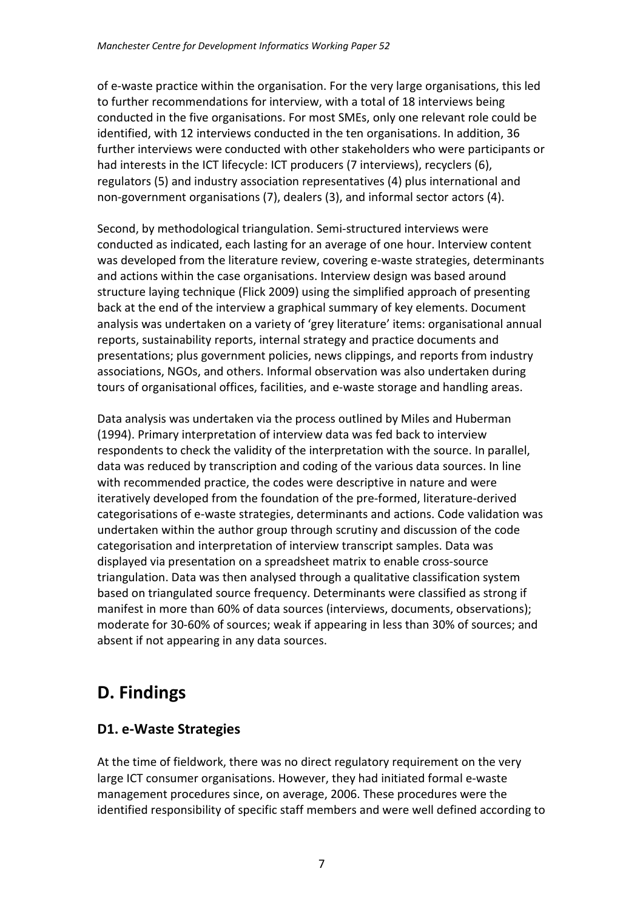of e-waste practice within the organisation. For the very large organisations, this led to further recommendations for interview, with a total of 18 interviews being conducted in the five organisations. For most SMEs, only one relevant role could be identified, with 12 interviews conducted in the ten organisations. In addition, 36 further interviews were conducted with other stakeholders who were participants or had interests in the ICT lifecycle: ICT producers (7 interviews), recyclers (6), regulators (5) and industry association representatives (4) plus international and non-government organisations (7), dealers (3), and informal sector actors (4).

Second, by methodological triangulation. Semi-structured interviews were conducted as indicated, each lasting for an average of one hour. Interview content was developed from the literature review, covering e-waste strategies, determinants and actions within the case organisations. Interview design was based around structure laying technique (Flick 2009) using the simplified approach of presenting back at the end of the interview a graphical summary of key elements. Document analysis was undertaken on a variety of 'grey literature' items: organisational annual reports, sustainability reports, internal strategy and practice documents and presentations; plus government policies, news clippings, and reports from industry associations, NGOs, and others. Informal observation was also undertaken during tours of organisational offices, facilities, and e-waste storage and handling areas.

Data analysis was undertaken via the process outlined by Miles and Huberman (1994). Primary interpretation of interview data was fed back to interview respondents to check the validity of the interpretation with the source. In parallel, data was reduced by transcription and coding of the various data sources. In line with recommended practice, the codes were descriptive in nature and were iteratively developed from the foundation of the pre-formed, literature-derived categorisations of e-waste strategies, determinants and actions. Code validation was undertaken within the author group through scrutiny and discussion of the code categorisation and interpretation of interview transcript samples. Data was displayed via presentation on a spreadsheet matrix to enable cross-source triangulation. Data was then analysed through a qualitative classification system based on triangulated source frequency. Determinants were classified as strong if manifest in more than 60% of data sources (interviews, documents, observations); moderate for 30-60% of sources; weak if appearing in less than 30% of sources; and absent if not appearing in any data sources.

## D. Findings

#### D1. e-Waste Strategies

At the time of fieldwork, there was no direct regulatory requirement on the very large ICT consumer organisations. However, they had initiated formal e-waste management procedures since, on average, 2006. These procedures were the identified responsibility of specific staff members and were well defined according to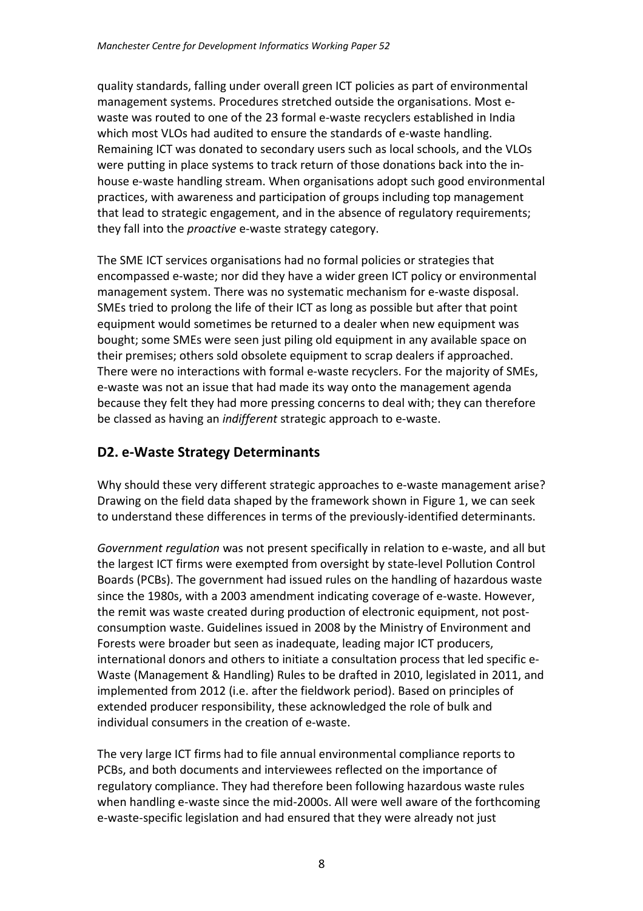quality standards, falling under overall green ICT policies as part of environmental management systems. Procedures stretched outside the organisations. Most ewaste was routed to one of the 23 formal e-waste recyclers established in India which most VLOs had audited to ensure the standards of e-waste handling. Remaining ICT was donated to secondary users such as local schools, and the VLOs were putting in place systems to track return of those donations back into the inhouse e-waste handling stream. When organisations adopt such good environmental practices, with awareness and participation of groups including top management that lead to strategic engagement, and in the absence of regulatory requirements; they fall into the *proactive* e-waste strategy category.

The SME ICT services organisations had no formal policies or strategies that encompassed e-waste; nor did they have a wider green ICT policy or environmental management system. There was no systematic mechanism for e-waste disposal. SMEs tried to prolong the life of their ICT as long as possible but after that point equipment would sometimes be returned to a dealer when new equipment was bought; some SMEs were seen just piling old equipment in any available space on their premises; others sold obsolete equipment to scrap dealers if approached. There were no interactions with formal e-waste recyclers. For the majority of SMEs, e-waste was not an issue that had made its way onto the management agenda because they felt they had more pressing concerns to deal with; they can therefore be classed as having an indifferent strategic approach to e-waste.

### D2. e-Waste Strategy Determinants

Why should these very different strategic approaches to e-waste management arise? Drawing on the field data shaped by the framework shown in Figure 1, we can seek to understand these differences in terms of the previously-identified determinants.

Government regulation was not present specifically in relation to e-waste, and all but the largest ICT firms were exempted from oversight by state-level Pollution Control Boards (PCBs). The government had issued rules on the handling of hazardous waste since the 1980s, with a 2003 amendment indicating coverage of e-waste. However, the remit was waste created during production of electronic equipment, not postconsumption waste. Guidelines issued in 2008 by the Ministry of Environment and Forests were broader but seen as inadequate, leading major ICT producers, international donors and others to initiate a consultation process that led specific e-Waste (Management & Handling) Rules to be drafted in 2010, legislated in 2011, and implemented from 2012 (i.e. after the fieldwork period). Based on principles of extended producer responsibility, these acknowledged the role of bulk and individual consumers in the creation of e-waste.

The very large ICT firms had to file annual environmental compliance reports to PCBs, and both documents and interviewees reflected on the importance of regulatory compliance. They had therefore been following hazardous waste rules when handling e-waste since the mid-2000s. All were well aware of the forthcoming e-waste-specific legislation and had ensured that they were already not just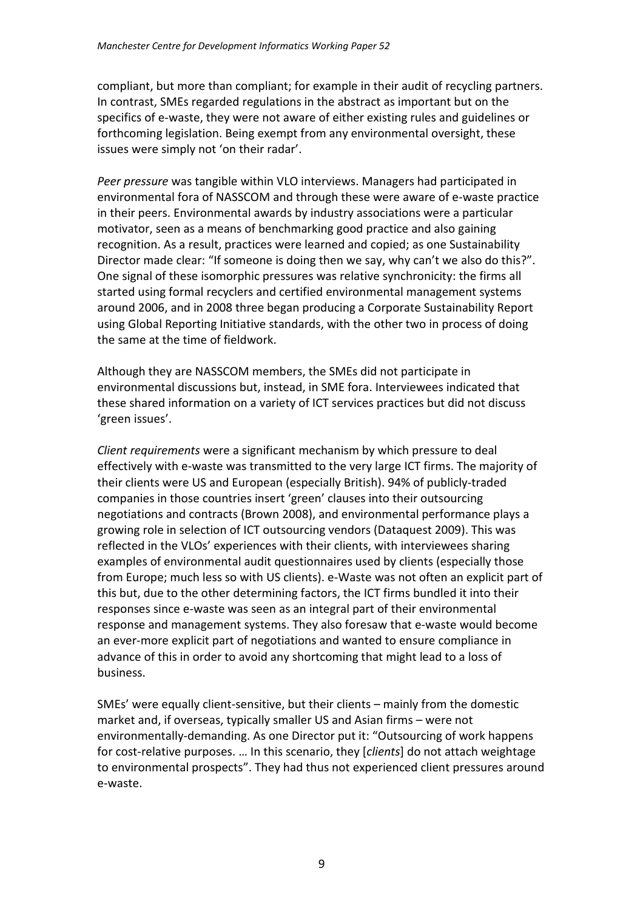compliant, but more than compliant; for example in their audit of recycling partners. In contrast, SMEs regarded regulations in the abstract as important but on the specifics of e-waste, they were not aware of either existing rules and guidelines or forthcoming legislation. Being exempt from any environmental oversight, these issues were simply not 'on their radar'.

Peer pressure was tangible within VLO interviews. Managers had participated in environmental fora of NASSCOM and through these were aware of e-waste practice in their peers. Environmental awards by industry associations were a particular motivator, seen as a means of benchmarking good practice and also gaining recognition. As a result, practices were learned and copied; as one Sustainability Director made clear: "If someone is doing then we say, why can't we also do this?". One signal of these isomorphic pressures was relative synchronicity: the firms all started using formal recyclers and certified environmental management systems around 2006, and in 2008 three began producing a Corporate Sustainability Report using Global Reporting Initiative standards, with the other two in process of doing the same at the time of fieldwork.

Although they are NASSCOM members, the SMEs did not participate in environmental discussions but, instead, in SME fora. Interviewees indicated that these shared information on a variety of ICT services practices but did not discuss 'green issues'.

Client requirements were a significant mechanism by which pressure to deal effectively with e-waste was transmitted to the very large ICT firms. The majority of their clients were US and European (especially British). 94% of publicly-traded companies in those countries insert 'green' clauses into their outsourcing negotiations and contracts (Brown 2008), and environmental performance plays a growing role in selection of ICT outsourcing vendors (Dataquest 2009). This was reflected in the VLOs' experiences with their clients, with interviewees sharing examples of environmental audit questionnaires used by clients (especially those from Europe; much less so with US clients). e-Waste was not often an explicit part of this but, due to the other determining factors, the ICT firms bundled it into their responses since e-waste was seen as an integral part of their environmental response and management systems. They also foresaw that e-waste would become an ever-more explicit part of negotiations and wanted to ensure compliance in advance of this in order to avoid any shortcoming that might lead to a loss of business.

SMEs' were equally client-sensitive, but their clients – mainly from the domestic market and, if overseas, typically smaller US and Asian firms – were not environmentally-demanding. As one Director put it: "Outsourcing of work happens for cost-relative purposes. … In this scenario, they [clients] do not attach weightage to environmental prospects". They had thus not experienced client pressures around e-waste.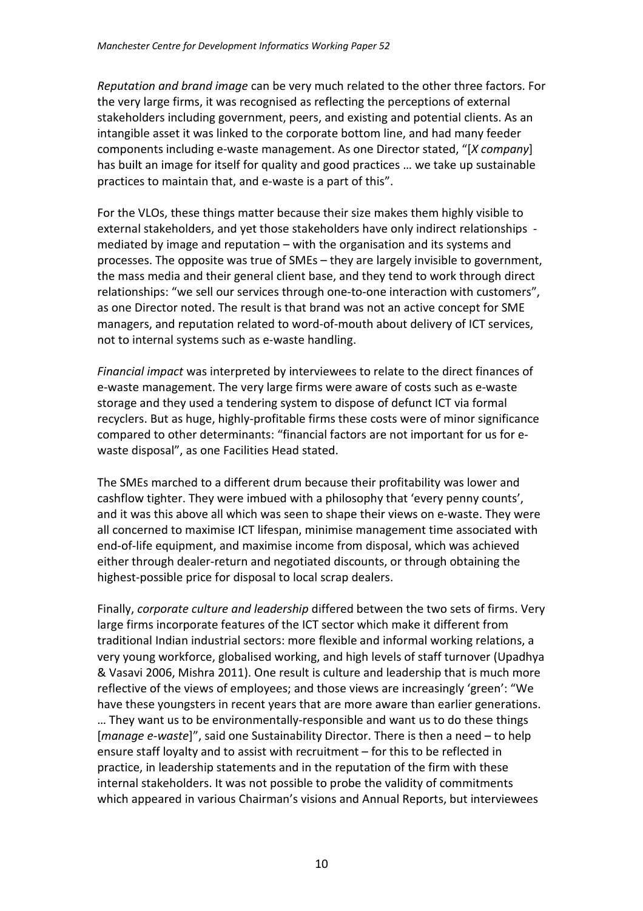Reputation and brand image can be very much related to the other three factors. For the very large firms, it was recognised as reflecting the perceptions of external stakeholders including government, peers, and existing and potential clients. As an intangible asset it was linked to the corporate bottom line, and had many feeder components including e-waste management. As one Director stated, "[X company] has built an image for itself for quality and good practices … we take up sustainable practices to maintain that, and e-waste is a part of this".

For the VLOs, these things matter because their size makes them highly visible to external stakeholders, and yet those stakeholders have only indirect relationships mediated by image and reputation – with the organisation and its systems and processes. The opposite was true of SMEs – they are largely invisible to government, the mass media and their general client base, and they tend to work through direct relationships: "we sell our services through one-to-one interaction with customers", as one Director noted. The result is that brand was not an active concept for SME managers, and reputation related to word-of-mouth about delivery of ICT services, not to internal systems such as e-waste handling.

Financial impact was interpreted by interviewees to relate to the direct finances of e-waste management. The very large firms were aware of costs such as e-waste storage and they used a tendering system to dispose of defunct ICT via formal recyclers. But as huge, highly-profitable firms these costs were of minor significance compared to other determinants: "financial factors are not important for us for ewaste disposal", as one Facilities Head stated.

The SMEs marched to a different drum because their profitability was lower and cashflow tighter. They were imbued with a philosophy that 'every penny counts', and it was this above all which was seen to shape their views on e-waste. They were all concerned to maximise ICT lifespan, minimise management time associated with end-of-life equipment, and maximise income from disposal, which was achieved either through dealer-return and negotiated discounts, or through obtaining the highest-possible price for disposal to local scrap dealers.

Finally, corporate culture and leadership differed between the two sets of firms. Very large firms incorporate features of the ICT sector which make it different from traditional Indian industrial sectors: more flexible and informal working relations, a very young workforce, globalised working, and high levels of staff turnover (Upadhya & Vasavi 2006, Mishra 2011). One result is culture and leadership that is much more reflective of the views of employees; and those views are increasingly 'green': "We have these youngsters in recent years that are more aware than earlier generations. … They want us to be environmentally-responsible and want us to do these things [manage e-waste]", said one Sustainability Director. There is then a need – to help ensure staff loyalty and to assist with recruitment – for this to be reflected in practice, in leadership statements and in the reputation of the firm with these internal stakeholders. It was not possible to probe the validity of commitments which appeared in various Chairman's visions and Annual Reports, but interviewees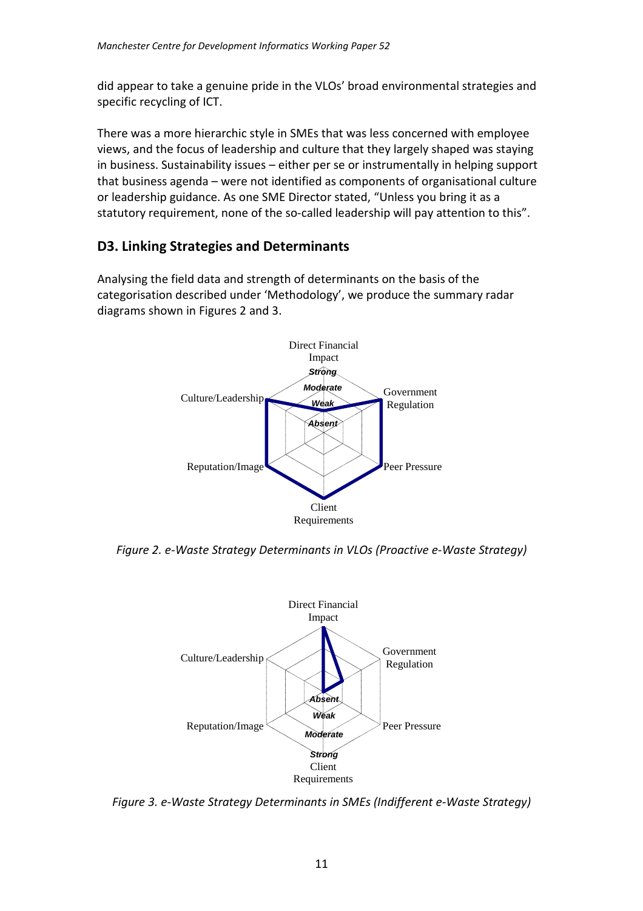did appear to take a genuine pride in the VLOs' broad environmental strategies and specific recycling of ICT.

There was a more hierarchic style in SMEs that was less concerned with employee views, and the focus of leadership and culture that they largely shaped was staying in business. Sustainability issues – either per se or instrumentally in helping support that business agenda – were not identified as components of organisational culture or leadership guidance. As one SME Director stated, "Unless you bring it as a statutory requirement, none of the so-called leadership will pay attention to this".

#### D3. Linking Strategies and Determinants

Analysing the field data and strength of determinants on the basis of the categorisation described under 'Methodology', we produce the summary radar diagrams shown in Figures 2 and 3.



Figure 2. e-Waste Strategy Determinants in VLOs (Proactive e-Waste Strategy)



Figure 3. e-Waste Strategy Determinants in SMEs (Indifferent e-Waste Strategy)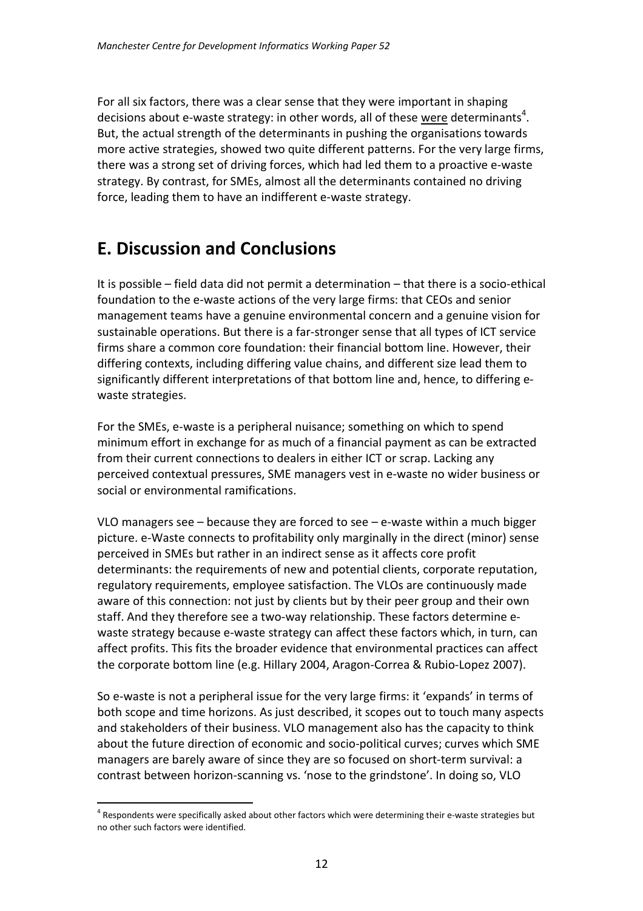For all six factors, there was a clear sense that they were important in shaping decisions about e-waste strategy: in other words, all of these were determinants<sup>4</sup>. But, the actual strength of the determinants in pushing the organisations towards more active strategies, showed two quite different patterns. For the very large firms, there was a strong set of driving forces, which had led them to a proactive e-waste strategy. By contrast, for SMEs, almost all the determinants contained no driving force, leading them to have an indifferent e-waste strategy.

## E. Discussion and Conclusions

It is possible – field data did not permit a determination – that there is a socio-ethical foundation to the e-waste actions of the very large firms: that CEOs and senior management teams have a genuine environmental concern and a genuine vision for sustainable operations. But there is a far-stronger sense that all types of ICT service firms share a common core foundation: their financial bottom line. However, their differing contexts, including differing value chains, and different size lead them to significantly different interpretations of that bottom line and, hence, to differing ewaste strategies.

For the SMEs, e-waste is a peripheral nuisance; something on which to spend minimum effort in exchange for as much of a financial payment as can be extracted from their current connections to dealers in either ICT or scrap. Lacking any perceived contextual pressures, SME managers vest in e-waste no wider business or social or environmental ramifications.

VLO managers see – because they are forced to see – e-waste within a much bigger picture. e-Waste connects to profitability only marginally in the direct (minor) sense perceived in SMEs but rather in an indirect sense as it affects core profit determinants: the requirements of new and potential clients, corporate reputation, regulatory requirements, employee satisfaction. The VLOs are continuously made aware of this connection: not just by clients but by their peer group and their own staff. And they therefore see a two-way relationship. These factors determine ewaste strategy because e-waste strategy can affect these factors which, in turn, can affect profits. This fits the broader evidence that environmental practices can affect the corporate bottom line (e.g. Hillary 2004, Aragon-Correa & Rubio-Lopez 2007).

So e-waste is not a peripheral issue for the very large firms: it 'expands' in terms of both scope and time horizons. As just described, it scopes out to touch many aspects and stakeholders of their business. VLO management also has the capacity to think about the future direction of economic and socio-political curves; curves which SME managers are barely aware of since they are so focused on short-term survival: a contrast between horizon-scanning vs. 'nose to the grindstone'. In doing so, VLO

l

 $^4$  Respondents were specifically asked about other factors which were determining their e-waste strategies but no other such factors were identified.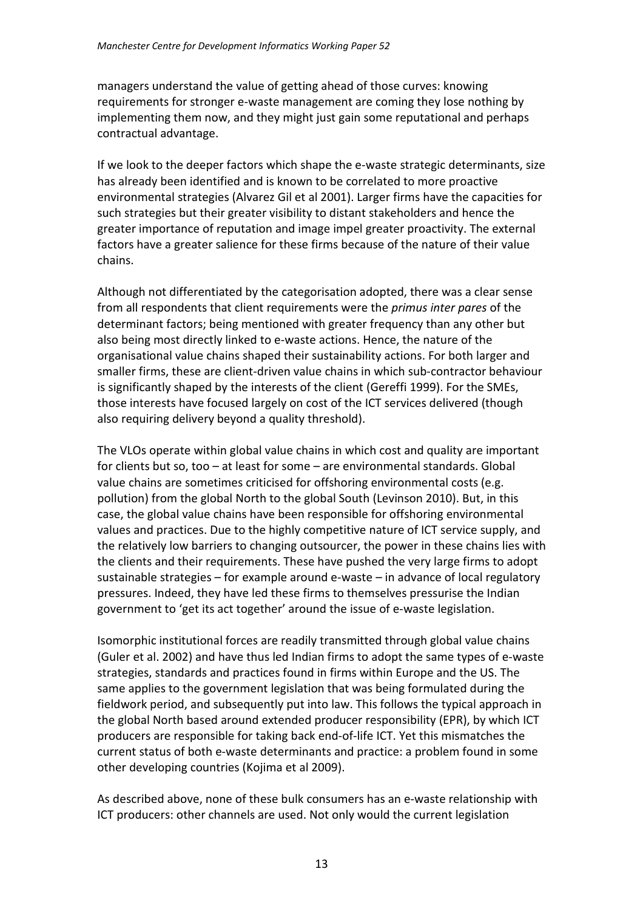managers understand the value of getting ahead of those curves: knowing requirements for stronger e-waste management are coming they lose nothing by implementing them now, and they might just gain some reputational and perhaps contractual advantage.

If we look to the deeper factors which shape the e-waste strategic determinants, size has already been identified and is known to be correlated to more proactive environmental strategies (Alvarez Gil et al 2001). Larger firms have the capacities for such strategies but their greater visibility to distant stakeholders and hence the greater importance of reputation and image impel greater proactivity. The external factors have a greater salience for these firms because of the nature of their value chains.

Although not differentiated by the categorisation adopted, there was a clear sense from all respondents that client requirements were the primus inter pares of the determinant factors; being mentioned with greater frequency than any other but also being most directly linked to e-waste actions. Hence, the nature of the organisational value chains shaped their sustainability actions. For both larger and smaller firms, these are client-driven value chains in which sub-contractor behaviour is significantly shaped by the interests of the client (Gereffi 1999). For the SMEs, those interests have focused largely on cost of the ICT services delivered (though also requiring delivery beyond a quality threshold).

The VLOs operate within global value chains in which cost and quality are important for clients but so, too – at least for some – are environmental standards. Global value chains are sometimes criticised for offshoring environmental costs (e.g. pollution) from the global North to the global South (Levinson 2010). But, in this case, the global value chains have been responsible for offshoring environmental values and practices. Due to the highly competitive nature of ICT service supply, and the relatively low barriers to changing outsourcer, the power in these chains lies with the clients and their requirements. These have pushed the very large firms to adopt sustainable strategies – for example around e-waste – in advance of local regulatory pressures. Indeed, they have led these firms to themselves pressurise the Indian government to 'get its act together' around the issue of e-waste legislation.

Isomorphic institutional forces are readily transmitted through global value chains (Guler et al. 2002) and have thus led Indian firms to adopt the same types of e-waste strategies, standards and practices found in firms within Europe and the US. The same applies to the government legislation that was being formulated during the fieldwork period, and subsequently put into law. This follows the typical approach in the global North based around extended producer responsibility (EPR), by which ICT producers are responsible for taking back end-of-life ICT. Yet this mismatches the current status of both e-waste determinants and practice: a problem found in some other developing countries (Kojima et al 2009).

As described above, none of these bulk consumers has an e-waste relationship with ICT producers: other channels are used. Not only would the current legislation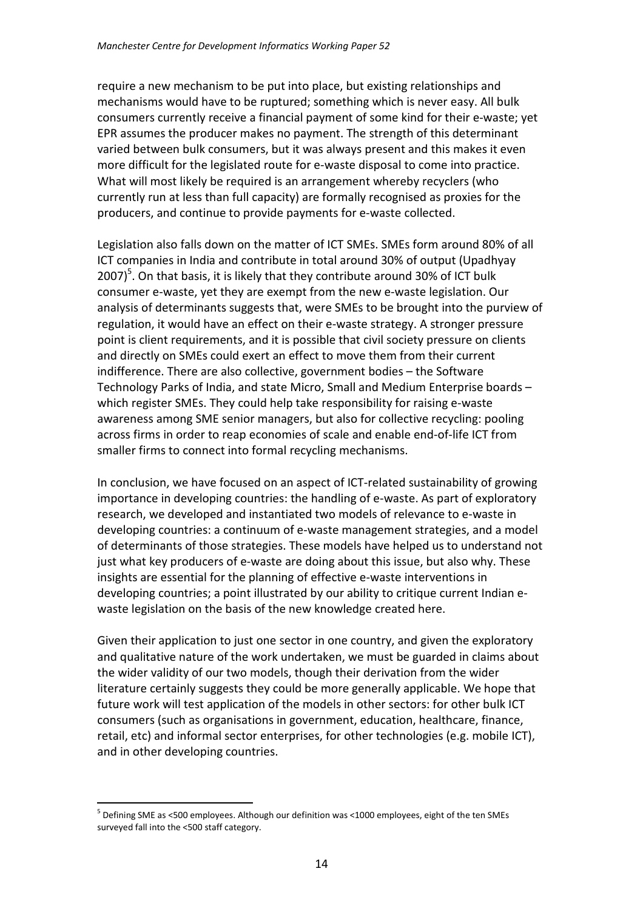require a new mechanism to be put into place, but existing relationships and mechanisms would have to be ruptured; something which is never easy. All bulk consumers currently receive a financial payment of some kind for their e-waste; yet EPR assumes the producer makes no payment. The strength of this determinant varied between bulk consumers, but it was always present and this makes it even more difficult for the legislated route for e-waste disposal to come into practice. What will most likely be required is an arrangement whereby recyclers (who currently run at less than full capacity) are formally recognised as proxies for the producers, and continue to provide payments for e-waste collected.

Legislation also falls down on the matter of ICT SMEs. SMEs form around 80% of all ICT companies in India and contribute in total around 30% of output (Upadhyay 2007)<sup>5</sup>. On that basis, it is likely that they contribute around 30% of ICT bulk consumer e-waste, yet they are exempt from the new e-waste legislation. Our analysis of determinants suggests that, were SMEs to be brought into the purview of regulation, it would have an effect on their e-waste strategy. A stronger pressure point is client requirements, and it is possible that civil society pressure on clients and directly on SMEs could exert an effect to move them from their current indifference. There are also collective, government bodies – the Software Technology Parks of India, and state Micro, Small and Medium Enterprise boards – which register SMEs. They could help take responsibility for raising e-waste awareness among SME senior managers, but also for collective recycling: pooling across firms in order to reap economies of scale and enable end-of-life ICT from smaller firms to connect into formal recycling mechanisms.

In conclusion, we have focused on an aspect of ICT-related sustainability of growing importance in developing countries: the handling of e-waste. As part of exploratory research, we developed and instantiated two models of relevance to e-waste in developing countries: a continuum of e-waste management strategies, and a model of determinants of those strategies. These models have helped us to understand not just what key producers of e-waste are doing about this issue, but also why. These insights are essential for the planning of effective e-waste interventions in developing countries; a point illustrated by our ability to critique current Indian ewaste legislation on the basis of the new knowledge created here.

Given their application to just one sector in one country, and given the exploratory and qualitative nature of the work undertaken, we must be guarded in claims about the wider validity of our two models, though their derivation from the wider literature certainly suggests they could be more generally applicable. We hope that future work will test application of the models in other sectors: for other bulk ICT consumers (such as organisations in government, education, healthcare, finance, retail, etc) and informal sector enterprises, for other technologies (e.g. mobile ICT), and in other developing countries.

l

 $^5$  Defining SME as <500 employees. Although our definition was <1000 employees, eight of the ten SMEs surveyed fall into the <500 staff category.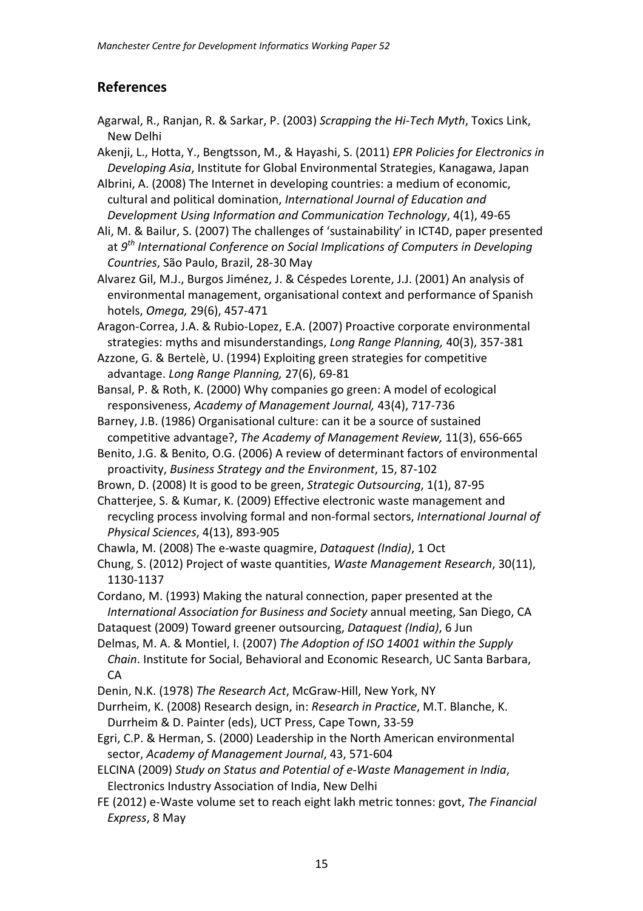#### References

- Agarwal, R., Ranjan, R. & Sarkar, P. (2003) Scrapping the Hi-Tech Myth, Toxics Link, New Delhi
- Akenji, L., Hotta, Y., Bengtsson, M., & Hayashi, S. (2011) EPR Policies for Electronics in Developing Asia, Institute for Global Environmental Strategies, Kanagawa, Japan
- Albrini, A. (2008) The Internet in developing countries: a medium of economic, cultural and political domination, International Journal of Education and Development Using Information and Communication Technology, 4(1), 49-65
- Ali, M. & Bailur, S. (2007) The challenges of 'sustainability' in ICT4D, paper presented at 9<sup>th</sup> International Conference on Social Implications of Computers in Developing Countries, São Paulo, Brazil, 28-30 May
- Alvarez Gil, M.J., Burgos Jiménez, J. & Céspedes Lorente, J.J. (2001) An analysis of environmental management, organisational context and performance of Spanish hotels, Omega, 29(6), 457-471
- Aragon-Correa, J.A. & Rubio-Lopez, E.A. (2007) Proactive corporate environmental strategies: myths and misunderstandings, Long Range Planning, 40(3), 357-381
- Azzone, G. & Bertelè, U. (1994) Exploiting green strategies for competitive advantage. Long Range Planning, 27(6), 69-81
- Bansal, P. & Roth, K. (2000) Why companies go green: A model of ecological responsiveness, Academy of Management Journal, 43(4), 717-736
- Barney, J.B. (1986) Organisational culture: can it be a source of sustained competitive advantage?, The Academy of Management Review, 11(3), 656-665
- Benito, J.G. & Benito, O.G. (2006) A review of determinant factors of environmental proactivity, Business Strategy and the Environment, 15, 87-102
- Brown, D. (2008) It is good to be green, Strategic Outsourcing, 1(1), 87-95
- Chatterjee, S. & Kumar, K. (2009) Effective electronic waste management and recycling process involving formal and non-formal sectors, International Journal of Physical Sciences, 4(13), 893-905
- Chawla, M. (2008) The e-waste quagmire, Dataquest (India), 1 Oct
- Chung, S. (2012) Project of waste quantities, Waste Management Research, 30(11), 1130-1137
- Cordano, M. (1993) Making the natural connection, paper presented at the International Association for Business and Society annual meeting, San Diego, CA
- Dataquest (2009) Toward greener outsourcing, Dataquest (India), 6 Jun
- Delmas, M. A. & Montiel, I. (2007) The Adoption of ISO 14001 within the Supply Chain. Institute for Social, Behavioral and Economic Research, UC Santa Barbara, **CA**
- Denin, N.K. (1978) The Research Act, McGraw-Hill, New York, NY
- Durrheim, K. (2008) Research design, in: Research in Practice, M.T. Blanche, K. Durrheim & D. Painter (eds), UCT Press, Cape Town, 33-59
- Egri, C.P. & Herman, S. (2000) Leadership in the North American environmental sector, Academy of Management Journal, 43, 571-604
- ELCINA (2009) Study on Status and Potential of e-Waste Management in India, Electronics Industry Association of India, New Delhi
- FE (2012) e-Waste volume set to reach eight lakh metric tonnes: govt, The Financial Express, 8 May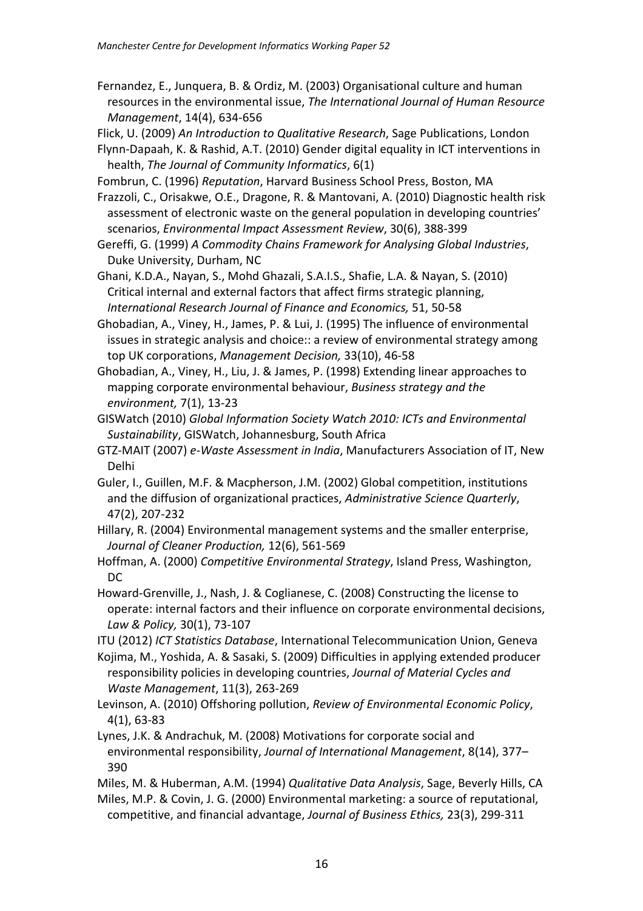Fernandez, E., Junquera, B. & Ordiz, M. (2003) Organisational culture and human resources in the environmental issue, The International Journal of Human Resource Management, 14(4), 634-656

Flick, U. (2009) An Introduction to Qualitative Research, Sage Publications, London

Flynn-Dapaah, K. & Rashid, A.T. (2010) Gender digital equality in ICT interventions in health, The Journal of Community Informatics, 6(1)

Fombrun, C. (1996) Reputation, Harvard Business School Press, Boston, MA

Frazzoli, C., Orisakwe, O.E., Dragone, R. & Mantovani, A. (2010) Diagnostic health risk assessment of electronic waste on the general population in developing countries' scenarios, Environmental Impact Assessment Review, 30(6), 388-399

Gereffi, G. (1999) A Commodity Chains Framework for Analysing Global Industries, Duke University, Durham, NC

Ghani, K.D.A., Nayan, S., Mohd Ghazali, S.A.I.S., Shafie, L.A. & Nayan, S. (2010) Critical internal and external factors that affect firms strategic planning, International Research Journal of Finance and Economics, 51, 50-58

Ghobadian, A., Viney, H., James, P. & Lui, J. (1995) The influence of environmental issues in strategic analysis and choice:: a review of environmental strategy among top UK corporations, Management Decision, 33(10), 46-58

Ghobadian, A., Viney, H., Liu, J. & James, P. (1998) Extending linear approaches to mapping corporate environmental behaviour, Business strategy and the environment, 7(1), 13-23

GISWatch (2010) Global Information Society Watch 2010: ICTs and Environmental Sustainability, GISWatch, Johannesburg, South Africa

GTZ-MAIT (2007) e-Waste Assessment in India, Manufacturers Association of IT, New Delhi

Guler, I., Guillen, M.F. & Macpherson, J.M. (2002) Global competition, institutions and the diffusion of organizational practices, Administrative Science Quarterly, 47(2), 207-232

Hillary, R. (2004) Environmental management systems and the smaller enterprise, Journal of Cleaner Production, 12(6), 561-569

Hoffman, A. (2000) Competitive Environmental Strategy, Island Press, Washington, DC

Howard-Grenville, J., Nash, J. & Coglianese, C. (2008) Constructing the license to operate: internal factors and their influence on corporate environmental decisions, Law & Policy, 30(1), 73-107

ITU (2012) ICT Statistics Database, International Telecommunication Union, Geneva

Kojima, M., Yoshida, A. & Sasaki, S. (2009) Difficulties in applying extended producer responsibility policies in developing countries, Journal of Material Cycles and Waste Management, 11(3), 263-269

Levinson, A. (2010) Offshoring pollution, Review of Environmental Economic Policy, 4(1), 63-83

Lynes, J.K. & Andrachuk, M. (2008) Motivations for corporate social and environmental responsibility, Journal of International Management, 8(14), 377– 390

- Miles, M. & Huberman, A.M. (1994) Qualitative Data Analysis, Sage, Beverly Hills, CA
- Miles, M.P. & Covin, J. G. (2000) Environmental marketing: a source of reputational, competitive, and financial advantage, Journal of Business Ethics, 23(3), 299-311